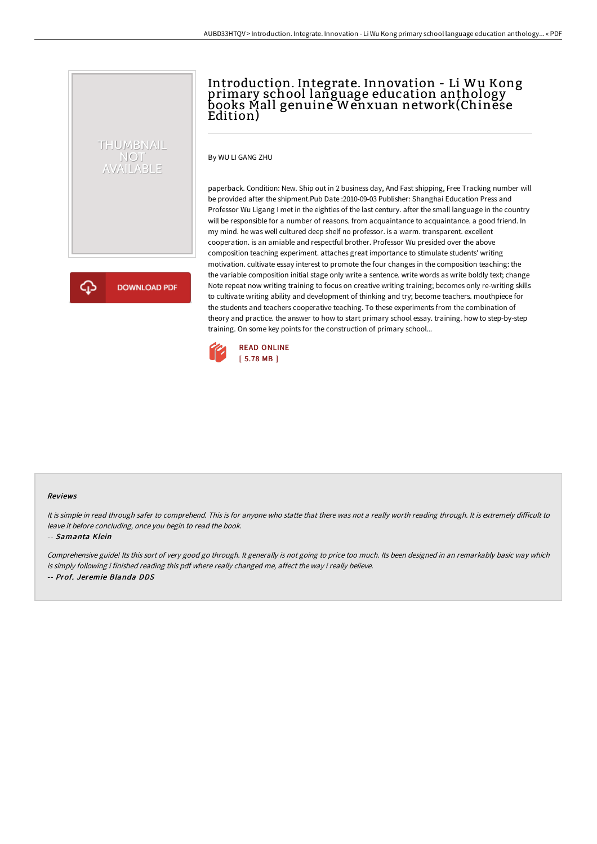# Introduction. Integrate. Innovation - Li Wu Kong primary school language education anthology books Mall genuine Wenxuan network(Chinese Edition)

By WU LI GANG ZHU

THUMBNAIL NOT<br>AVAILABLE

**DOWNLOAD PDF** 

paperback. Condition: New. Ship out in 2 business day, And Fast shipping, Free Tracking number will be provided after the shipment.Pub Date :2010-09-03 Publisher: Shanghai Education Press and Professor Wu Ligang I met in the eighties of the last century. after the small language in the country will be responsible for a number of reasons. from acquaintance to acquaintance. a good friend. In my mind. he was well cultured deep shelf no professor. is a warm. transparent. excellent cooperation. is an amiable and respectful brother. Professor Wu presided over the above composition teaching experiment. attaches great importance to stimulate students' writing motivation. cultivate essay interest to promote the four changes in the composition teaching: the the variable composition initial stage only write a sentence. write words as write boldly text; change Note repeat now writing training to focus on creative writing training; becomes only re-writing skills to cultivate writing ability and development of thinking and try; become teachers. mouthpiece for the students and teachers cooperative teaching. To these experiments from the combination of theory and practice. the answer to how to start primary school essay. training. how to step-by-step training. On some key points for the construction of primary school...



### Reviews

It is simple in read through safer to comprehend. This is for anyone who statte that there was not a really worth reading through. It is extremely difficult to leave it before concluding, once you begin to read the book.

#### -- Samanta Klein

Comprehensive guide! Its this sort of very good go through. It generally is not going to price too much. Its been designed in an remarkably basic way which is simply following i finished reading this pdf where really changed me, affect the way i really believe. -- Prof. Jeremie Blanda DDS